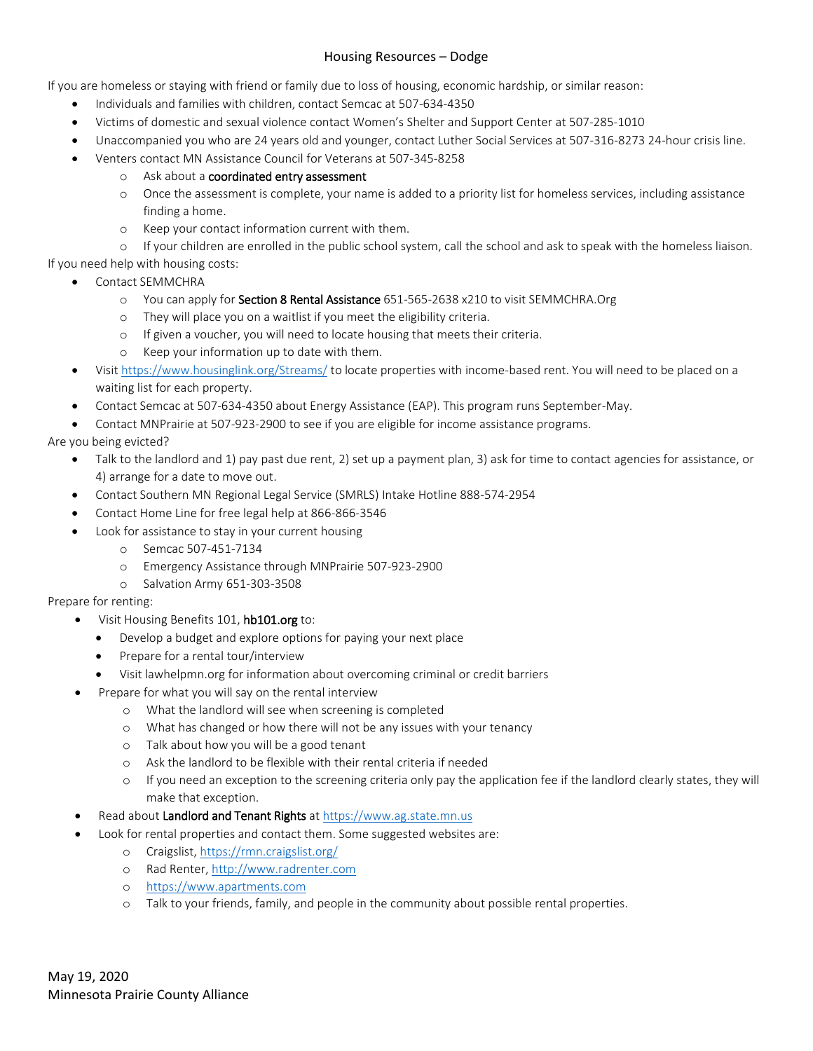## Housing Resources – Dodge

If you are homeless or staying with friend or family due to loss of housing, economic hardship, or similar reason:

- Individuals and families with children, contact Semcac at 507-634-4350
- Victims of domestic and sexual violence contact Women's Shelter and Support Center at 507-285-1010
- Unaccompanied you who are 24 years old and younger, contact Luther Social Services at 507-316-8273 24-hour crisis line.
- Venters contact MN Assistance Council for Veterans at 507-345-8258
	- o Ask about a coordinated entry assessment
	- o Once the assessment is complete, your name is added to a priority list for homeless services, including assistance finding a home.
	- o Keep your contact information current with them.

o If your children are enrolled in the public school system, call the school and ask to speak with the homeless liaison.

If you need help with housing costs:

- Contact SEMMCHRA
	- o You can apply for Section 8 Rental Assistance 651-565-2638 x210 to visit SEMMCHRA.Org
	- o They will place you on a waitlist if you meet the eligibility criteria.
	- o If given a voucher, you will need to locate housing that meets their criteria.
	- o Keep your information up to date with them.
- Visi[t https://www.housinglink.org/Streams/](https://www.housinglink.org/Streams/) to locate properties with income-based rent. You will need to be placed on a waiting list for each property.
- Contact Semcac at 507-634-4350 about Energy Assistance (EAP). This program runs September-May.
- Contact MNPrairie at 507-923-2900 to see if you are eligible for income assistance programs.

Are you being evicted?

- Talk to the landlord and 1) pay past due rent, 2) set up a payment plan, 3) ask for time to contact agencies for assistance, or 4) arrange for a date to move out.
- Contact Southern MN Regional Legal Service (SMRLS) Intake Hotline 888-574-2954
- Contact Home Line for free legal help at 866-866-3546
- Look for assistance to stay in your current housing
	- o Semcac 507-451-7134
	- o Emergency Assistance through MNPrairie 507-923-2900
	- o Salvation Army 651-303-3508

Prepare for renting:

- Visit Housing Benefits 101, hb101.org to:
	- Develop a budget and explore options for paying your next place
	- Prepare for a rental tour/interview
	- Visit lawhelpmn.org for information about overcoming criminal or credit barriers
- Prepare for what you will say on the rental interview
	- o What the landlord will see when screening is completed
	- o What has changed or how there will not be any issues with your tenancy
	- o Talk about how you will be a good tenant
	- o Ask the landlord to be flexible with their rental criteria if needed
	- o If you need an exception to the screening criteria only pay the application fee if the landlord clearly states, they will make that exception.
- Read about Landlord and Tenant Rights at [https://www.ag.state.mn.us](https://www.ag.state.mn.us/)
- Look for rental properties and contact them. Some suggested websites are:
	- o Craigslist,<https://rmn.craigslist.org/>
	- o Rad Renter[, http://www.radrenter.com](http://www.radrenter.com/)
	- o [https://www.apartments.com](https://www.apartments.com/)
	- o Talk to your friends, family, and people in the community about possible rental properties.